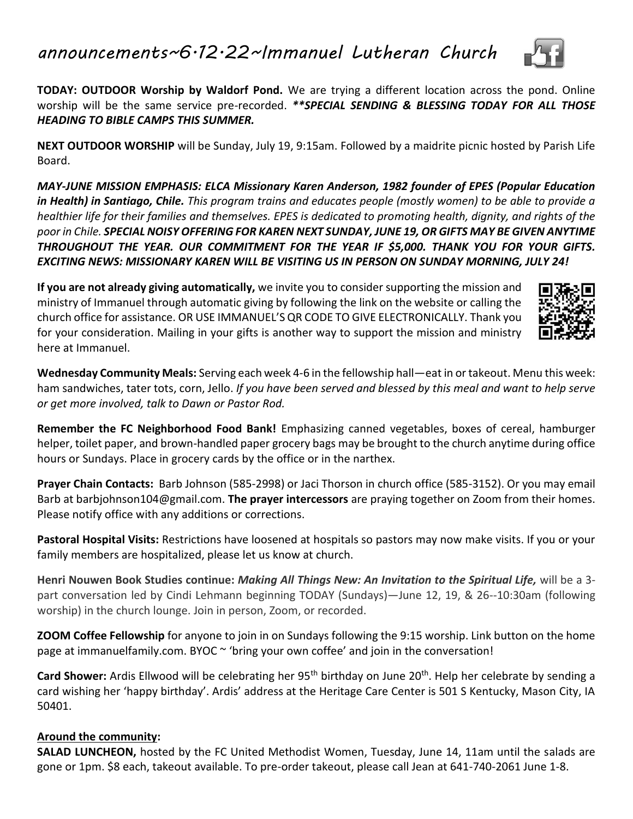## *announcements~6.12.22~Immanuel Lutheran Church*



**TODAY: OUTDOOR Worship by Waldorf Pond.** We are trying a different location across the pond. Online worship will be the same service pre-recorded. *\*\*SPECIAL SENDING & BLESSING TODAY FOR ALL THOSE HEADING TO BIBLE CAMPS THIS SUMMER.*

**NEXT OUTDOOR WORSHIP** will be Sunday, July 19, 9:15am. Followed by a maidrite picnic hosted by Parish Life Board.

*MAY-JUNE MISSION EMPHASIS: ELCA Missionary Karen Anderson, 1982 founder of EPES (Popular Education in Health) in Santiago, Chile. This program trains and educates people (mostly women) to be able to provide a healthier life for their families and themselves. EPES is dedicated to promoting health, dignity, and rights of the poor in Chile. SPECIAL NOISY OFFERING FOR KAREN NEXT SUNDAY, JUNE 19, OR GIFTS MAY BE GIVEN ANYTIME THROUGHOUT THE YEAR. OUR COMMITMENT FOR THE YEAR IF \$5,000. THANK YOU FOR YOUR GIFTS. EXCITING NEWS: MISSIONARY KAREN WILL BE VISITING US IN PERSON ON SUNDAY MORNING, JULY 24!*

**If you are not already giving automatically,** we invite you to consider supporting the mission and ministry of Immanuel through automatic giving by following the link on the website or calling the church office for assistance. OR USE IMMANUEL'S QR CODE TO GIVE ELECTRONICALLY. Thank you for your consideration. Mailing in your gifts is another way to support the mission and ministry here at Immanuel.



**Wednesday Community Meals:** Serving each week 4-6 in the fellowship hall—eat in or takeout. Menu this week: ham sandwiches, tater tots, corn, Jello. *If you have been served and blessed by this meal and want to help serve or get more involved, talk to Dawn or Pastor Rod.*

**Remember the FC Neighborhood Food Bank!** Emphasizing canned vegetables, boxes of cereal, hamburger helper, toilet paper, and brown-handled paper grocery bags may be brought to the church anytime during office hours or Sundays. Place in grocery cards by the office or in the narthex.

**Prayer Chain Contacts:** Barb Johnson (585-2998) or Jaci Thorson in church office (585-3152). Or you may email Barb at barbjohnson104@gmail.com. **The prayer intercessors** are praying together on Zoom from their homes. Please notify office with any additions or corrections.

**Pastoral Hospital Visits:** Restrictions have loosened at hospitals so pastors may now make visits. If you or your family members are hospitalized, please let us know at church.

**Henri Nouwen Book Studies continue:** *Making All Things New: An Invitation to the Spiritual Life,* will be a 3 part conversation led by Cindi Lehmann beginning TODAY (Sundays)—June 12, 19, & 26--10:30am (following worship) in the church lounge. Join in person, Zoom, or recorded.

**ZOOM Coffee Fellowship** for anyone to join in on Sundays following the 9:15 worship. Link button on the home page at immanuelfamily.com. BYOC ~ 'bring your own coffee' and join in the conversation!

Card Shower: Ardis Ellwood will be celebrating her 95<sup>th</sup> birthday on June 20<sup>th</sup>. Help her celebrate by sending a card wishing her 'happy birthday'. Ardis' address at the Heritage Care Center is 501 S Kentucky, Mason City, IA 50401.

## **Around the community:**

**SALAD LUNCHEON,** hosted by the FC United Methodist Women, Tuesday, June 14, 11am until the salads are gone or 1pm. \$8 each, takeout available. To pre-order takeout, please call Jean at 641-740-2061 June 1-8.